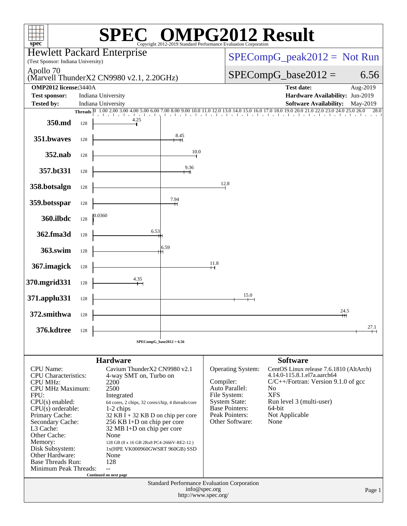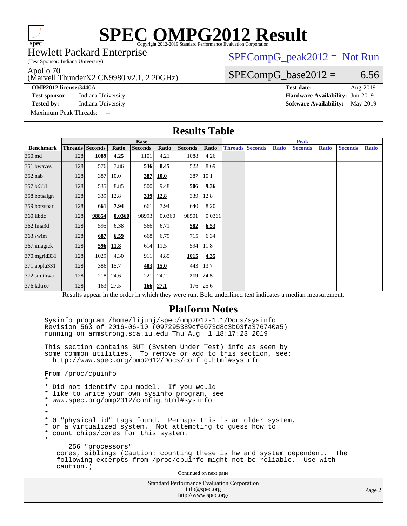(Test Sponsor: Indiana University) Hewlett Packard Enterprise

### $SPECompG_peak2012 = Not Run$  $SPECompG_peak2012 = Not Run$

Apollo 70

### (Marvell ThunderX2 CN9980 v2.1, 2.20GHz)

**[Test sponsor:](http://www.spec.org/auto/omp2012/Docs/result-fields.html#Testsponsor)** Indiana University **[Hardware Availability:](http://www.spec.org/auto/omp2012/Docs/result-fields.html#HardwareAvailability)** Jun-2019

**[Tested by:](http://www.spec.org/auto/omp2012/Docs/result-fields.html#Testedby)** Indiana University **[Software Availability:](http://www.spec.org/auto/omp2012/Docs/result-fields.html#SoftwareAvailability)** May-2019

[Maximum Peak Threads:](http://www.spec.org/auto/omp2012/Docs/result-fields.html#MaximumPeakThreads)

 $SPECompG_base2012 = 6.56$  $SPECompG_base2012 = 6.56$ **[OMP2012 license:](http://www.spec.org/auto/omp2012/Docs/result-fields.html#OMP2012license)**3440A **[Test date:](http://www.spec.org/auto/omp2012/Docs/result-fields.html#Testdate)** Aug-2019

Standard Performance Evaluation Corporation [info@spec.org](mailto:info@spec.org) Page 2 **[Results Table](http://www.spec.org/auto/omp2012/Docs/result-fields.html#ResultsTable) [Benchmark](http://www.spec.org/auto/omp2012/Docs/result-fields.html#Benchmark) [Threads](http://www.spec.org/auto/omp2012/Docs/result-fields.html#Threads) [Seconds](http://www.spec.org/auto/omp2012/Docs/result-fields.html#Seconds) [Ratio](http://www.spec.org/auto/omp2012/Docs/result-fields.html#Ratio) [Seconds](http://www.spec.org/auto/omp2012/Docs/result-fields.html#Seconds) [Ratio](http://www.spec.org/auto/omp2012/Docs/result-fields.html#Ratio) [Seconds](http://www.spec.org/auto/omp2012/Docs/result-fields.html#Seconds) [Ratio](http://www.spec.org/auto/omp2012/Docs/result-fields.html#Ratio) Base [Threads](http://www.spec.org/auto/omp2012/Docs/result-fields.html#Threads) [Seconds](http://www.spec.org/auto/omp2012/Docs/result-fields.html#Seconds) [Ratio](http://www.spec.org/auto/omp2012/Docs/result-fields.html#Ratio) [Seconds](http://www.spec.org/auto/omp2012/Docs/result-fields.html#Seconds) [Ratio](http://www.spec.org/auto/omp2012/Docs/result-fields.html#Ratio) [Seconds](http://www.spec.org/auto/omp2012/Docs/result-fields.html#Seconds) [Ratio](http://www.spec.org/auto/omp2012/Docs/result-fields.html#Ratio) Peak** [350.md](http://www.spec.org/auto/omp2012/Docs/350.md.html) 128 **[1089](http://www.spec.org/auto/omp2012/Docs/result-fields.html#Median) [4.25](http://www.spec.org/auto/omp2012/Docs/result-fields.html#Median)** 1101 4.21 1088 4.26 [351.bwaves](http://www.spec.org/auto/omp2012/Docs/351.bwaves.html) 128 576 7.86 **[536](http://www.spec.org/auto/omp2012/Docs/result-fields.html#Median) [8.45](http://www.spec.org/auto/omp2012/Docs/result-fields.html#Median)** 522 8.69 [352.nab](http://www.spec.org/auto/omp2012/Docs/352.nab.html) 128 387 10.0 **[387](http://www.spec.org/auto/omp2012/Docs/result-fields.html#Median) [10.0](http://www.spec.org/auto/omp2012/Docs/result-fields.html#Median)** 387 10.1 [357.bt331](http://www.spec.org/auto/omp2012/Docs/357.bt331.html) 128 535 8.85 500 9.48 **[506](http://www.spec.org/auto/omp2012/Docs/result-fields.html#Median) [9.36](http://www.spec.org/auto/omp2012/Docs/result-fields.html#Median)** [358.botsalgn](http://www.spec.org/auto/omp2012/Docs/358.botsalgn.html) 128 339 12.8 **[339](http://www.spec.org/auto/omp2012/Docs/result-fields.html#Median) [12.8](http://www.spec.org/auto/omp2012/Docs/result-fields.html#Median)** 339 12.8 [359.botsspar](http://www.spec.org/auto/omp2012/Docs/359.botsspar.html) 128 **[661](http://www.spec.org/auto/omp2012/Docs/result-fields.html#Median) [7.94](http://www.spec.org/auto/omp2012/Docs/result-fields.html#Median)** 661 7.94 640 8.20 [360.ilbdc](http://www.spec.org/auto/omp2012/Docs/360.ilbdc.html) 128 **[98854](http://www.spec.org/auto/omp2012/Docs/result-fields.html#Median) [0.0360](http://www.spec.org/auto/omp2012/Docs/result-fields.html#Median)** 98993 0.0360 98501 0.0361 [362.fma3d](http://www.spec.org/auto/omp2012/Docs/362.fma3d.html) 128 595 6.38 566 6.71 **[582](http://www.spec.org/auto/omp2012/Docs/result-fields.html#Median) [6.53](http://www.spec.org/auto/omp2012/Docs/result-fields.html#Median)** [363.swim](http://www.spec.org/auto/omp2012/Docs/363.swim.html) 128 **[687](http://www.spec.org/auto/omp2012/Docs/result-fields.html#Median) [6.59](http://www.spec.org/auto/omp2012/Docs/result-fields.html#Median)** 668 6.79 715 6.34 [367.imagick](http://www.spec.org/auto/omp2012/Docs/367.imagick.html) 128 **[596](http://www.spec.org/auto/omp2012/Docs/result-fields.html#Median) [11.8](http://www.spec.org/auto/omp2012/Docs/result-fields.html#Median)** 614 11.5 594 11.8 [370.mgrid331](http://www.spec.org/auto/omp2012/Docs/370.mgrid331.html) 128 1029 4.30 911 4.85 **[1015](http://www.spec.org/auto/omp2012/Docs/result-fields.html#Median) [4.35](http://www.spec.org/auto/omp2012/Docs/result-fields.html#Median)** [371.applu331](http://www.spec.org/auto/omp2012/Docs/371.applu331.html) 128 386 15.7 **[403](http://www.spec.org/auto/omp2012/Docs/result-fields.html#Median) [15.0](http://www.spec.org/auto/omp2012/Docs/result-fields.html#Median)** 443 13.7 [372.smithwa](http://www.spec.org/auto/omp2012/Docs/372.smithwa.html) 128 218 24.6 221 24.2 **[219](http://www.spec.org/auto/omp2012/Docs/result-fields.html#Median) [24.5](http://www.spec.org/auto/omp2012/Docs/result-fields.html#Median)** [376.kdtree](http://www.spec.org/auto/omp2012/Docs/376.kdtree.html) 128 163 27.5 **[166](http://www.spec.org/auto/omp2012/Docs/result-fields.html#Median) [27.1](http://www.spec.org/auto/omp2012/Docs/result-fields.html#Median)** 176 25.6 Results appear in the [order in which they were run.](http://www.spec.org/auto/omp2012/Docs/result-fields.html#RunOrder) Bold underlined text [indicates a median measurement.](http://www.spec.org/auto/omp2012/Docs/result-fields.html#Median) **[Platform Notes](http://www.spec.org/auto/omp2012/Docs/result-fields.html#PlatformNotes)** Sysinfo program /home/lijunj/spec/omp2012-1.1/Docs/sysinfo Revision 563 of 2016-06-10 (097295389cf6073d8c3b03fa376740a5) running on armstrong.sca.iu.edu Thu Aug 1 18:17:23 2019 This section contains SUT (System Under Test) info as seen by some common utilities. To remove or add to this section, see: <http://www.spec.org/omp2012/Docs/config.html#sysinfo> From /proc/cpuinfo \* \* Did not identify cpu model. If you would \* like to write your own sysinfo program, see \* www.spec.org/omp2012/config.html#sysinfo \* \* \* 0 "physical id" tags found. Perhaps this is an older system, \* or a virtualized system. Not attempting to guess how to \* count chips/cores for this system. \* 256 "processors" cores, siblings (Caution: counting these is hw and system dependent. The following excerpts from /proc/cpuinfo might not be reliable. Use with caution.) Continued on next page

<http://www.spec.org/>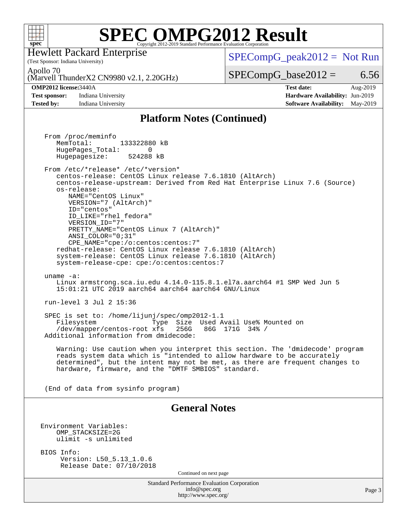

(Test Sponsor: Indiana University) Hewlett Packard Enterprise

 $SPECompG_peak2012 = Not Run$  $SPECompG_peak2012 = Not Run$ 

Apollo 70

(Marvell ThunderX2 CN9980 v2.1, 2.20GHz)

**[Test sponsor:](http://www.spec.org/auto/omp2012/Docs/result-fields.html#Testsponsor)** Indiana University **[Hardware Availability:](http://www.spec.org/auto/omp2012/Docs/result-fields.html#HardwareAvailability)** Jun-2019

 $SPECompG_base2012 = 6.56$  $SPECompG_base2012 = 6.56$ **[OMP2012 license:](http://www.spec.org/auto/omp2012/Docs/result-fields.html#OMP2012license)**3440A **[Test date:](http://www.spec.org/auto/omp2012/Docs/result-fields.html#Testdate)** Aug-2019

**[Tested by:](http://www.spec.org/auto/omp2012/Docs/result-fields.html#Testedby)** Indiana University **[Software Availability:](http://www.spec.org/auto/omp2012/Docs/result-fields.html#SoftwareAvailability)** May-2019

### **[Platform Notes \(Continued\)](http://www.spec.org/auto/omp2012/Docs/result-fields.html#PlatformNotes)**

Standard Performance Evaluation Corporation [info@spec.org](mailto:info@spec.org) <http://www.spec.org/> Page 3 From /proc/meminfo MemTotal: 133322880 kB HugePages\_Total: 0<br>Hugepagesize: 524288 kB Hugepagesize: From /etc/\*release\* /etc/\*version\* centos-release: CentOS Linux release 7.6.1810 (AltArch) centos-release-upstream: Derived from Red Hat Enterprise Linux 7.6 (Source) os-release: NAME="CentOS Linux" VERSION="7 (AltArch)" ID="centos" ID\_LIKE="rhel fedora" VERSION\_ID="7" PRETTY\_NAME="CentOS\_Linux 7 (AltArch)" ANSI\_COLOR="0;31" CPE\_NAME="cpe:/o:centos:centos:7" redhat-release: CentOS Linux release 7.6.1810 (AltArch) system-release: CentOS Linux release 7.6.1810 (AltArch) system-release-cpe: cpe:/o:centos:centos:7 uname -a: Linux armstrong.sca.iu.edu 4.14.0-115.8.1.el7a.aarch64 #1 SMP Wed Jun 5 15:01:21 UTC 2019 aarch64 aarch64 aarch64 GNU/Linux run-level 3 Jul 2 15:36 SPEC is set to: /home/lijunj/spec/omp2012-1.1 Filesystem Type Size Used Avail Use% Mounted on /dev/mapper/centos-root xfs 256G 86G 171G 34% / Additional information from dmidecode: Warning: Use caution when you interpret this section. The 'dmidecode' program reads system data which is "intended to allow hardware to be accurately determined", but the intent may not be met, as there are frequent changes to hardware, firmware, and the "DMTF SMBIOS" standard. (End of data from sysinfo program) **[General Notes](http://www.spec.org/auto/omp2012/Docs/result-fields.html#GeneralNotes)** Environment Variables: OMP\_STACKSIZE=2G ulimit -s unlimited BIOS Info: Version: L50\_5.13\_1.0.6 Release Date: 07/10/2018 Continued on next page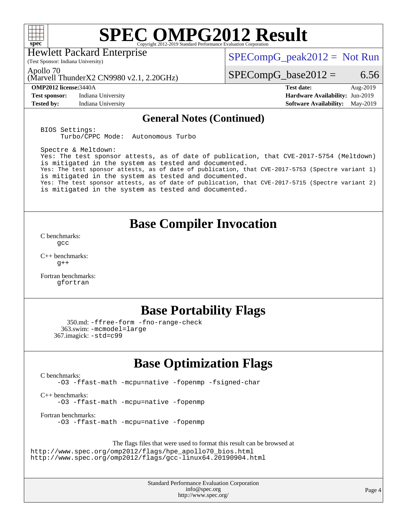

Hewlett Packard Enterprise

 $SPECompG_peak2012 = Not Run$  $SPECompG_peak2012 = Not Run$ 

Apollo 70

(Marvell ThunderX2 CN9980 v2.1, 2.20GHz)

(Test Sponsor: Indiana University)

**[Test sponsor:](http://www.spec.org/auto/omp2012/Docs/result-fields.html#Testsponsor)** Indiana University **[Hardware Availability:](http://www.spec.org/auto/omp2012/Docs/result-fields.html#HardwareAvailability)** Jun-2019

 $SPECompG_base2012 = 6.56$  $SPECompG_base2012 = 6.56$ 

**[OMP2012 license:](http://www.spec.org/auto/omp2012/Docs/result-fields.html#OMP2012license)**3440A **[Test date:](http://www.spec.org/auto/omp2012/Docs/result-fields.html#Testdate)** Aug-2019 **[Tested by:](http://www.spec.org/auto/omp2012/Docs/result-fields.html#Testedby)** Indiana University **[Software Availability:](http://www.spec.org/auto/omp2012/Docs/result-fields.html#SoftwareAvailability)** May-2019

### **[General Notes \(Continued\)](http://www.spec.org/auto/omp2012/Docs/result-fields.html#GeneralNotes)**

BIOS Settings: Turbo/CPPC Mode: Autonomous Turbo

Spectre & Meltdown: Yes: The test sponsor attests, as of date of publication, that CVE-2017-5754 (Meltdown) is mitigated in the system as tested and documented. Yes: The test sponsor attests, as of date of publication, that CVE-2017-5753 (Spectre variant 1) is mitigated in the system as tested and documented. Yes: The test sponsor attests, as of date of publication, that CVE-2017-5715 (Spectre variant 2) is mitigated in the system as tested and documented.

## **[Base Compiler Invocation](http://www.spec.org/auto/omp2012/Docs/result-fields.html#BaseCompilerInvocation)**

[C benchmarks](http://www.spec.org/auto/omp2012/Docs/result-fields.html#Cbenchmarks): [gcc](http://www.spec.org/omp2012/results/res2019q3/omp2012-20190812-00183.flags.html#user_CCbase_gcc_e0d511356bd44120af49cc96c9dcf3b3)

[C++ benchmarks:](http://www.spec.org/auto/omp2012/Docs/result-fields.html#CXXbenchmarks)  $g++$ 

[Fortran benchmarks](http://www.spec.org/auto/omp2012/Docs/result-fields.html#Fortranbenchmarks): [gfortran](http://www.spec.org/omp2012/results/res2019q3/omp2012-20190812-00183.flags.html#user_FCbase_gfortran_a303edaa4a81c8aab35b1bda5c9ef7ba)

## **[Base Portability Flags](http://www.spec.org/auto/omp2012/Docs/result-fields.html#BasePortabilityFlags)**

```
 350.md: -ffree-form -fno-range-check
  363.swim: -mcmodel=large
367.imagick: -std=c99
```
## **[Base Optimization Flags](http://www.spec.org/auto/omp2012/Docs/result-fields.html#BaseOptimizationFlags)**

[C benchmarks](http://www.spec.org/auto/omp2012/Docs/result-fields.html#Cbenchmarks):

[-O3](http://www.spec.org/omp2012/results/res2019q3/omp2012-20190812-00183.flags.html#user_CCbase_f-O3) [-ffast-math](http://www.spec.org/omp2012/results/res2019q3/omp2012-20190812-00183.flags.html#user_CCbase_f-ffast-math) [-mcpu=native](http://www.spec.org/omp2012/results/res2019q3/omp2012-20190812-00183.flags.html#user_CCbase_f-mcpu_8022b0ebebd1cfddb76fd2cd38caa1e3) [-fopenmp](http://www.spec.org/omp2012/results/res2019q3/omp2012-20190812-00183.flags.html#user_CCbase_f-fopenmp) [-fsigned-char](http://www.spec.org/omp2012/results/res2019q3/omp2012-20190812-00183.flags.html#user_CCbase_f-signed-char_ea072296ce3abda7ab095741e7c36064)

[C++ benchmarks:](http://www.spec.org/auto/omp2012/Docs/result-fields.html#CXXbenchmarks) [-O3](http://www.spec.org/omp2012/results/res2019q3/omp2012-20190812-00183.flags.html#user_CXXbase_f-O3) [-ffast-math](http://www.spec.org/omp2012/results/res2019q3/omp2012-20190812-00183.flags.html#user_CXXbase_f-ffast-math) [-mcpu=native](http://www.spec.org/omp2012/results/res2019q3/omp2012-20190812-00183.flags.html#user_CXXbase_f-mcpu_8022b0ebebd1cfddb76fd2cd38caa1e3) [-fopenmp](http://www.spec.org/omp2012/results/res2019q3/omp2012-20190812-00183.flags.html#user_CXXbase_f-fopenmp)

[Fortran benchmarks](http://www.spec.org/auto/omp2012/Docs/result-fields.html#Fortranbenchmarks): [-O3](http://www.spec.org/omp2012/results/res2019q3/omp2012-20190812-00183.flags.html#user_FCbase_f-O3) [-ffast-math](http://www.spec.org/omp2012/results/res2019q3/omp2012-20190812-00183.flags.html#user_FCbase_f-ffast-math) [-mcpu=native](http://www.spec.org/omp2012/results/res2019q3/omp2012-20190812-00183.flags.html#user_FCbase_f-mcpu_8022b0ebebd1cfddb76fd2cd38caa1e3) [-fopenmp](http://www.spec.org/omp2012/results/res2019q3/omp2012-20190812-00183.flags.html#user_FCbase_f-fopenmp)

The flags files that were used to format this result can be browsed at

[http://www.spec.org/omp2012/flags/hpe\\_apollo70\\_bios.html](http://www.spec.org/omp2012/flags/hpe_apollo70_bios.html) <http://www.spec.org/omp2012/flags/gcc-linux64.20190904.html>

> Standard Performance Evaluation Corporation [info@spec.org](mailto:info@spec.org) <http://www.spec.org/>